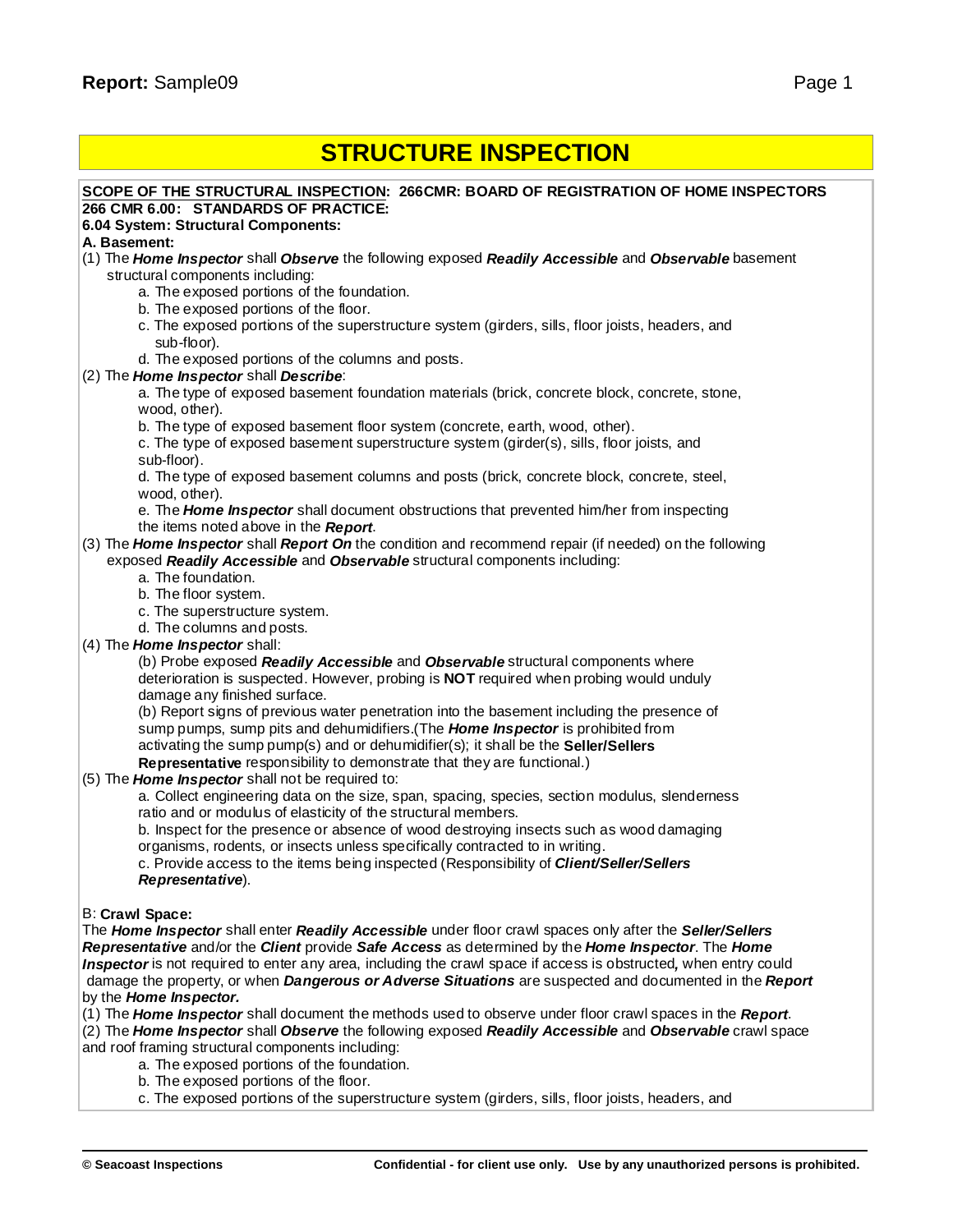# **STRUCTURE INSPECTION**

#### **SCOPE OF THE STRUCTURAL INSPECTION: 266CMR: BOARD OF REGISTRATION OF HOME INSPECTORS 266 CMR 6.00: STANDARDS OF PRACTICE: 6.04 System: Structural Components: A. Basement:** (1) The *Home Inspector* shall *Observe* the following exposed *Readily Accessible* and *Observable* basement structural components including: a. The exposed portions of the foundation. b. The exposed portions of the floor. c. The exposed portions of the superstructure system (girders, sills, floor joists, headers, and sub-floor). d. The exposed portions of the columns and posts. (2) The *Home Inspector* shall *Describe*: a. The type of exposed basement foundation materials (brick, concrete block, concrete, stone, wood, other). b. The type of exposed basement floor system (concrete, earth, wood, other). c. The type of exposed basement superstructure system (girder(s), sills, floor joists, and sub-floor). d. The type of exposed basement columns and posts (brick, concrete block, concrete, steel, wood, other). e. The *Home Inspector* shall document obstructions that prevented him/her from inspecting the items noted above in the *Report*. (3) The *Home Inspector* shall *Report On* the condition and recommend repair (if needed) on the following exposed *Readily Accessible* and *Observable* structural components including: a. The foundation. b. The floor system. c. The superstructure system. d. The columns and posts. (4) The *Home Inspector* shall: (b) Probe exposed *Readily Accessible* and *Observable* structural components where deterioration is suspected. However, probing is **NOT** required when probing would unduly damage any finished surface. (b) Report signs of previous water penetration into the basement including the presence of sump pumps, sump pits and dehumidifiers.(The *Home Inspector* is prohibited from activating the sump pump(s) and or dehumidifier(s); it shall be the **Seller/Sellers Representative** responsibility to demonstrate that they are functional.) (5) The *Home Inspector* shall not be required to: a. Collect engineering data on the size, span, spacing, species, section modulus, slenderness ratio and or modulus of elasticity of the structural members. b. Inspect for the presence or absence of wood destroying insects such as wood damaging organisms, rodents, or insects unless specifically contracted to in writing. c. Provide access to the items being inspected (Responsibility of *Client/Seller/Sellers Representative*). B: **Crawl Space:** The *Home Inspector* shall enter *Readily Accessible* under floor crawl spaces only after the *Seller/Sellers Representative* and/or the *Client* provide *Safe Access* as determined by the *Home Inspector*. The *Home Inspector* is not required to enter any area, including the crawl space if access is obstructed*,* when entry could damage the property, or when *Dangerous or Adverse Situations* are suspected and documented in the *Report* by the *Home Inspector.* (1) The *Home Inspector* shall document the methods used to observe under floor crawl spaces in the *Report*. (2) The *Home Inspector* shall *Observe* the following exposed *Readily Accessible* and *Observable* crawl space and roof framing structural components including:

- a. The exposed portions of the foundation.
- b. The exposed portions of the floor.
- c. The exposed portions of the superstructure system (girders, sills, floor joists, headers, and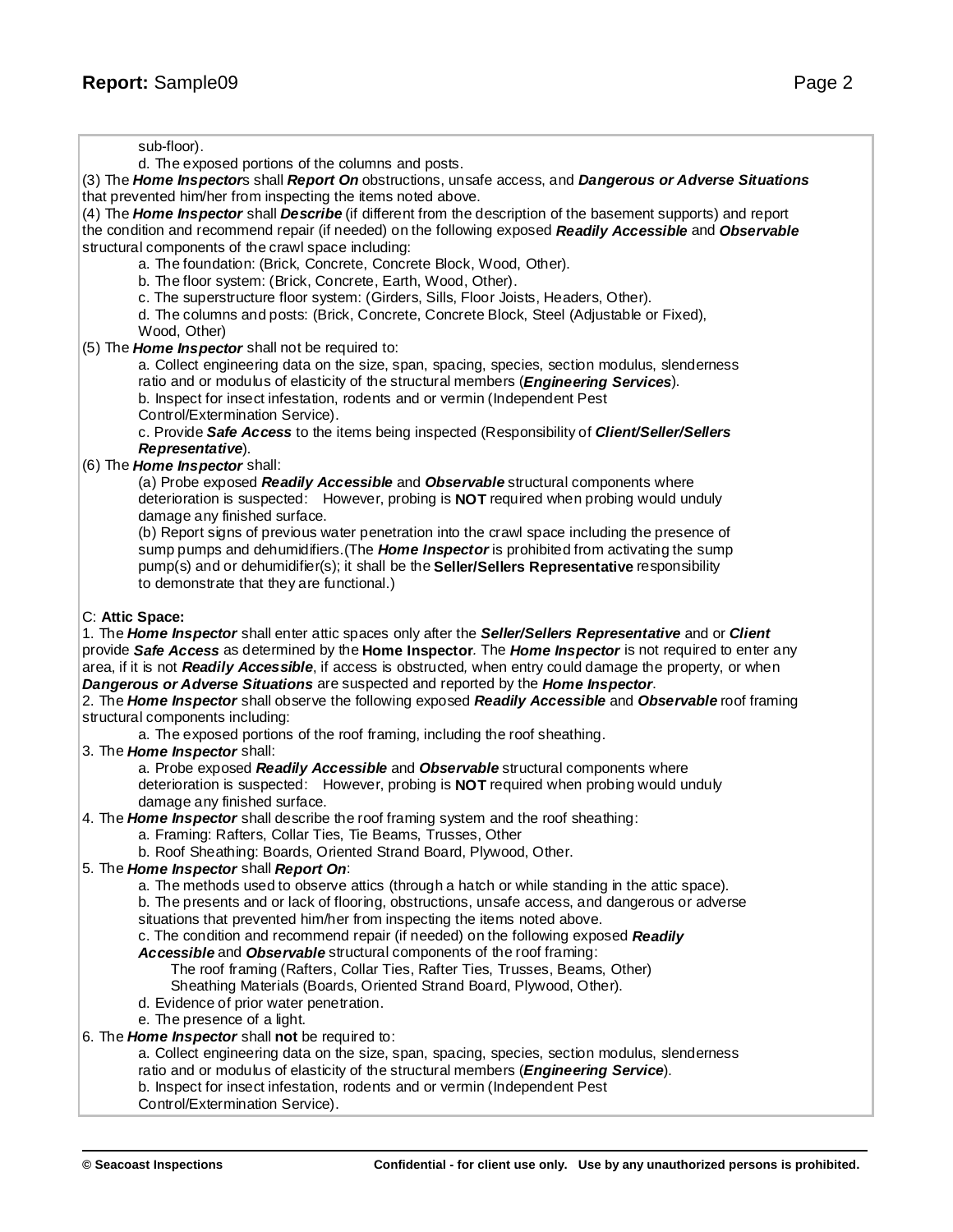| sub-floor).                                                                                                                                                               |
|---------------------------------------------------------------------------------------------------------------------------------------------------------------------------|
| d. The exposed portions of the columns and posts.                                                                                                                         |
| (3) The Home Inspectors shall Report On obstructions, unsafe access, and Dangerous or Adverse Situations<br>that prevented him/her from inspecting the items noted above. |
| (4) The Home Inspector shall Describe (if different from the description of the basement supports) and report                                                             |
| the condition and recommend repair (if needed) on the following exposed Readily Accessible and Observable                                                                 |
| structural components of the crawl space including:                                                                                                                       |
| a. The foundation: (Brick, Concrete, Concrete Block, Wood, Other).                                                                                                        |
| b. The floor system: (Brick, Concrete, Earth, Wood, Other).                                                                                                               |
| c. The superstructure floor system: (Girders, Sills, Floor Joists, Headers, Other).                                                                                       |
| d. The columns and posts: (Brick, Concrete, Concrete Block, Steel (Adjustable or Fixed),                                                                                  |
| Wood, Other)                                                                                                                                                              |
| (5) The Home Inspector shall not be required to:                                                                                                                          |
| a. Collect engineering data on the size, span, spacing, species, section modulus, slenderness                                                                             |
| ratio and or modulus of elasticity of the structural members (Engineering Services).                                                                                      |
| b. Inspect for insect infestation, rodents and or vermin (Independent Pest                                                                                                |
| Control/Extermination Service).                                                                                                                                           |
| c. Provide Safe Access to the items being inspected (Responsibility of Client/Seller/Sellers<br>Representative).                                                          |
| (6) The Home Inspector shall:                                                                                                                                             |
| (a) Probe exposed Readily Accessible and Observable structural components where                                                                                           |
| deterioration is suspected: However, probing is NOT required when probing would unduly                                                                                    |
| damage any finished surface.                                                                                                                                              |
| (b) Report signs of previous water penetration into the crawl space including the presence of                                                                             |
| sump pumps and dehumidifiers. (The Home Inspector is prohibited from activating the sump                                                                                  |
| pump(s) and or dehumidifier(s); it shall be the Seller/Sellers Representative responsibility                                                                              |
| to demonstrate that they are functional.)                                                                                                                                 |
| C: Attic Space:                                                                                                                                                           |
| 1. The Home Inspector shall enter attic spaces only after the Seller/Sellers Representative and or Client                                                                 |
| provide Safe Access as determined by the Home Inspector. The Home Inspector is not required to enter any                                                                  |
| area, if it is not Readily Accessible, if access is obstructed, when entry could damage the property, or when                                                             |
| Dangerous or Adverse Situations are suspected and reported by the Home Inspector.                                                                                         |
| 2. The Home Inspector shall observe the following exposed Readily Accessible and Observable roof framing                                                                  |
| structural components including:                                                                                                                                          |
| a. The exposed portions of the roof framing, including the roof sheathing.                                                                                                |
| 3. The <i>Home Inspector</i> shall:                                                                                                                                       |
| a. Probe exposed Readily Accessible and Observable structural components where<br>deterioration is suspected: However, probing is NOT required when probing would unduly  |
| damage any finished surface.                                                                                                                                              |
| 4. The Home Inspector shall describe the roof framing system and the roof sheathing:                                                                                      |
| a. Framing: Rafters, Collar Ties, Tie Beams, Trusses, Other                                                                                                               |
| b. Roof Sheathing: Boards, Oriented Strand Board, Plywood, Other.                                                                                                         |
| 5. The Home Inspector shall Report On:                                                                                                                                    |
| a. The methods used to observe attics (through a hatch or while standing in the attic space).                                                                             |
| b. The presents and or lack of flooring, obstructions, unsafe access, and dangerous or adverse                                                                            |
| situations that prevented him/her from inspecting the items noted above.                                                                                                  |
| c. The condition and recommend repair (if needed) on the following exposed Readily                                                                                        |
| Accessible and Observable structural components of the roof framing:<br>The roof framing (Rafters, Collar Ties, Rafter Ties, Trusses, Beams, Other)                       |
| Sheathing Materials (Boards, Oriented Strand Board, Plywood, Other).                                                                                                      |
| d. Evidence of prior water penetration.                                                                                                                                   |
| e. The presence of a light.                                                                                                                                               |
| 6. The Home Inspector shall not be required to:                                                                                                                           |
| a. Collect engineering data on the size, span, spacing, species, section modulus, slenderness                                                                             |
| ratio and or modulus of elasticity of the structural members ( <i>Engineering Service</i> ).                                                                              |
| b. Inspect for insect infestation, rodents and or vermin (Independent Pest                                                                                                |

Control/Extermination Service).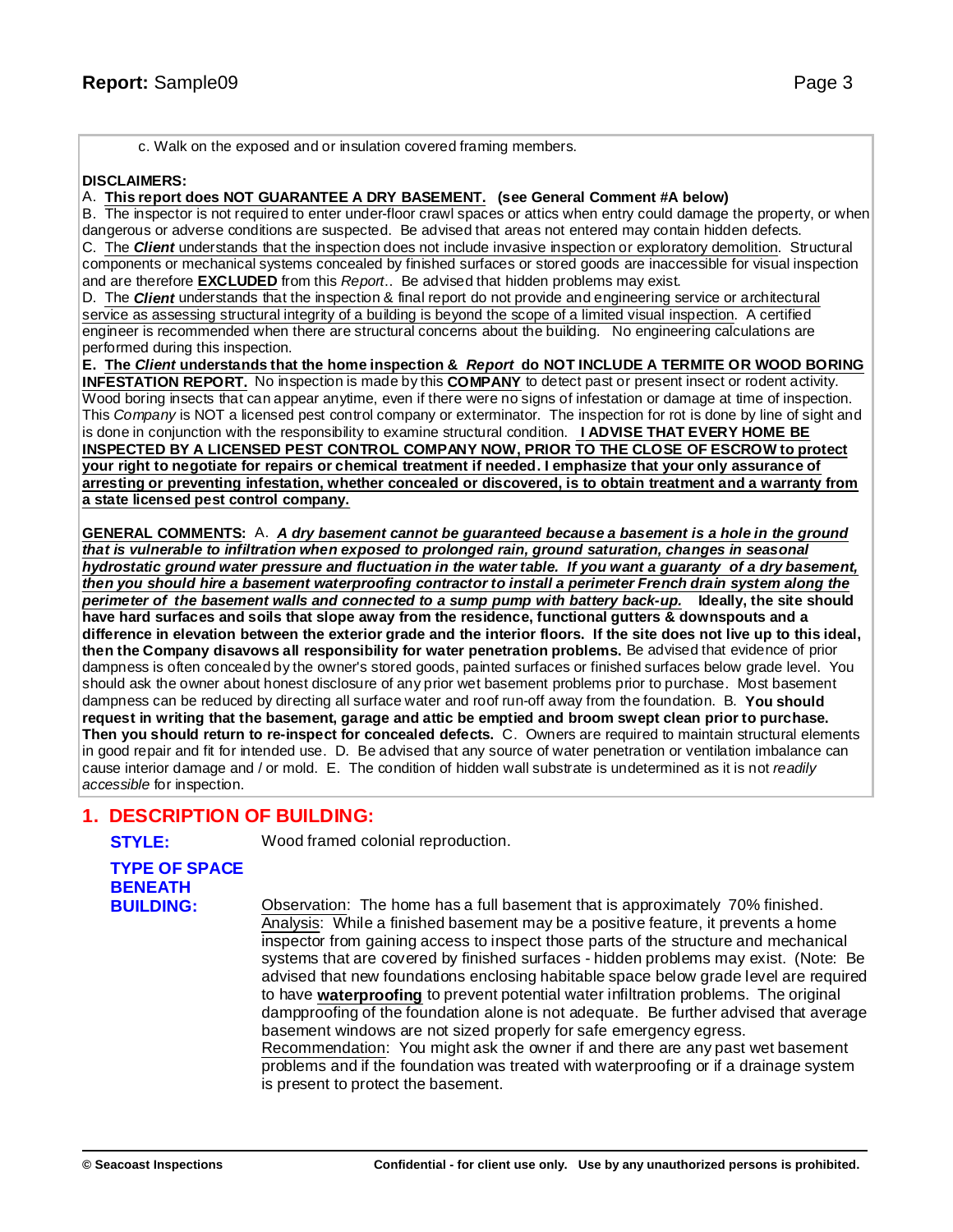c. Walk on the exposed and or insulation covered framing members.

#### **DISCLAIMERS:**

A. **This report does NOT GUARANTEE A DRY BASEMENT. (see General Comment #A below)**

B. The inspector is not required to enter under-floor crawl spaces or attics when entry could damage the property, or when dangerous or adverse conditions are suspected. Be advised that areas not entered may contain hidden defects. C. The *Client* understands that the inspection does not include invasive inspection or exploratory demolition. Structural components or mechanical systems concealed by finished surfaces or stored goods are inaccessible for visual inspection and are therefore **EXCLUDED** from this *Report*.. Be advised that hidden problems may exist.

D. The *Client* understands that the inspection & final report do not provide and engineering service or architectural service as assessing structural integrity of a building is beyond the scope of a limited visual inspection. A certified engineer is recommended when there are structural concerns about the building. No engineering calculations are performed during this inspection.

E. The Client understands that the home inspection & Report do NOT INCLUDE A TERMITE OR WOOD BORING **INFESTATION REPORT.** No inspection is made by this **COMPANY** to detect past or present insect or rodent activity. Wood boring insects that can appear anytime, even if there were no signs of infestation or damage at time of inspection. This *Company* is NOT a licensed pest control company or exterminator. The inspection for rot is done by line of sight and is done in conjunction with the responsibility to examine structural condition. **I ADVISE THAT EVERY HOME BE INSPECTED BY A LICENSED PEST CONTROL COMPANY NOW, PRIOR TO THE CLOSE OF ESCROW to protect** your right to negotiate for repairs or chemical treatment if needed. I emphasize that your only assurance of **arresting or preventing infestation, whether concealed or discovered, is to obtain treatment and a warranty from a state licensed pest control company.**

**GENERAL COMMENTS:** A. *A dry basement cannot be guaranteed because a basement is a hole in the ground that is vulnerable to infiltration when exposed to prolonged rain, ground saturation, changes in seasonal* hydrostatic ground water pressure and fluctuation in the water table. If you want a guaranty of a dry basement, then you should hire a basement waterproofing contractor to install a perimeter French drain system along the perimeter of the basement walls and connected to a sump pump with battery back-up. Ideally, the site should **have hard surfaces and soils that slope away from the residence, functional gutters & downspouts and a** difference in elevation between the exterior grade and the interior floors. If the site does not live up to this ideal, **then the Company disavows all responsibility for water penetration problems.** Be advised that evidence of prior dampness is often concealed by the owner's stored goods, painted surfaces or finished surfaces below grade level. You should ask the owner about honest disclosure of any prior wet basement problems prior to purchase. Most basement dampness can be reduced by directing all surface water and roof run-off away from the foundation. B. **You should** request in writing that the basement, garage and attic be emptied and broom swept clean prior to purchase. **Then you should return to re-inspect for concealed defects.** C. Owners are required to maintain structural elements in good repair and fit for intended use. D. Be advised that any source of water penetration or ventilation imbalance can cause interior damage and / or mold. E. The condition of hidden wall substrate is undetermined as it is not *readily accessible* for inspection.

### **1. DESCRIPTION OF BUILDING:**

**STYLE:** Wood framed colonial reproduction.

# **TYPE OF SPACE BENEATH**

**BUILDING:** Observation: The home has a full basement that is approximately 70% finished. Analysis: While a finished basement may be a positive feature, it prevents a home inspector from gaining access to inspect those parts of the structure and mechanical systems that are covered by finished surfaces - hidden problems may exist. (Note: Be advised that new foundations enclosing habitable space below grade level are required to have **waterproofing** to prevent potential water infiltration problems. The original dampproofing of the foundation alone is not adequate. Be further advised that average basement windows are not sized properly for safe emergency egress. Recommendation: You might ask the owner if and there are any past wet basement problems and if the foundation was treated with waterproofing or if a drainage system is present to protect the basement.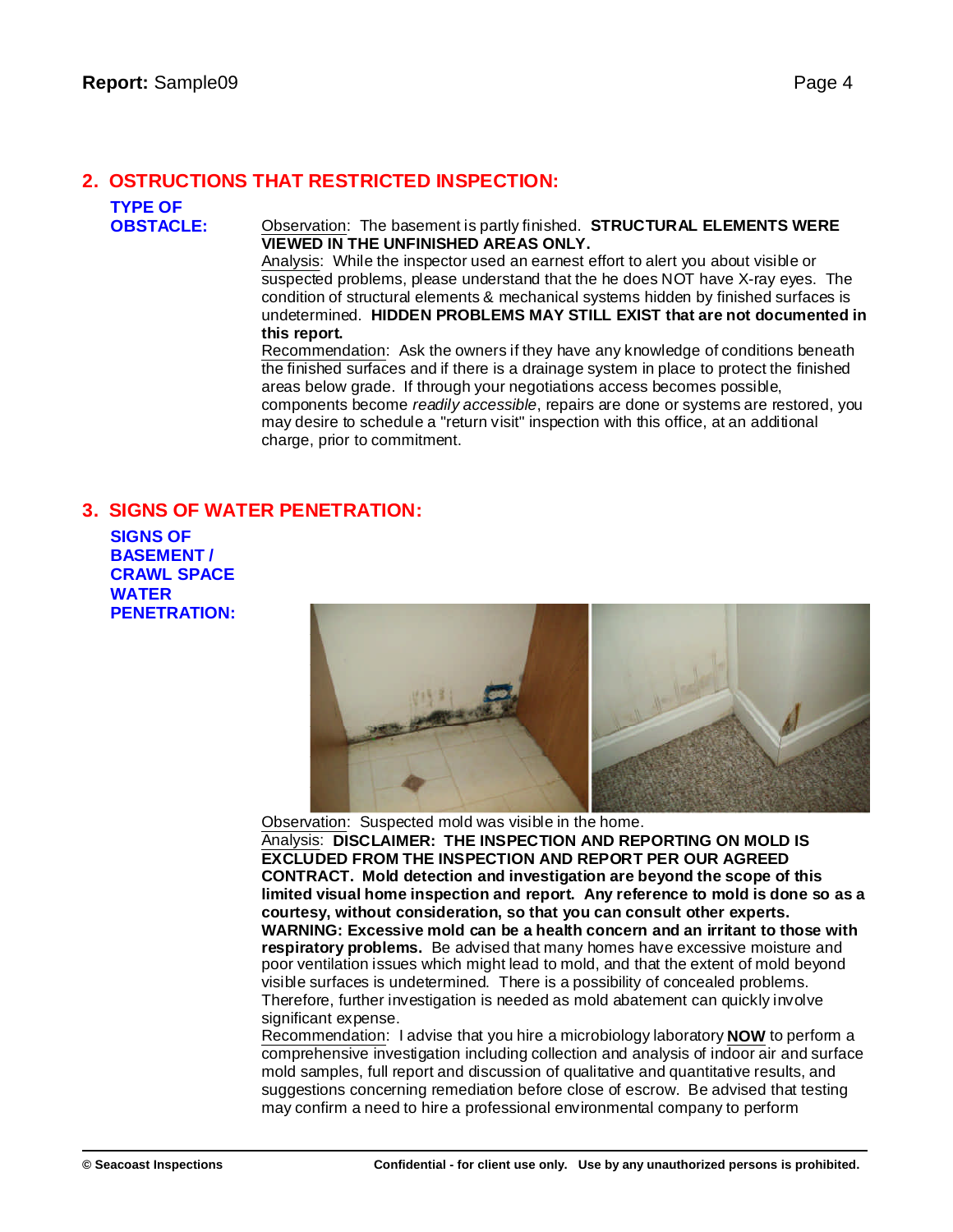## **2. OSTRUCTIONS THAT RESTRICTED INSPECTION:**

# **TYPE OF**

### **OBSTACLE:** Observation: The basement is partly finished. **STRUCTURAL ELEMENTS WERE VIEWED IN THE UNFINISHED AREAS ONLY.**

Analysis: While the inspector used an earnest effort to alert you about visible or suspected problems, please understand that the he does NOT have X-ray eyes. The condition of structural elements & mechanical systems hidden by finished surfaces is undetermined. **HIDDEN PROBLEMS MAY STILL EXIST that are not documented in this report.**

Recommendation: Ask the owners if they have any knowledge of conditions beneath the finished surfaces and if there is a drainage system in place to protect the finished areas below grade. If through your negotiations access becomes possible, components become *readily accessible*, repairs are done or systems are restored, you may desire to schedule a "return visit" inspection with this office, at an additional charge, prior to commitment.

### **3. SIGNS OF WATER PENETRATION:**

**SIGNS OF BASEMENT / CRAWL SPACE WATER PENETRATION:**



Observation: Suspected mold was visible in the home. Analysis: **DISCLAIMER: THE INSPECTION AND REPORTING ON MOLD IS EXCLUDED FROM THE INSPECTION AND REPORT PER OUR AGREED CONTRACT. Mold detection and investigation are beyond the scope of this limited visual home inspection and report. Any reference to mold is done so as a courtesy, without consideration, so that you can consult other experts. WARNING: Excessive mold can be a health concern and an irritant to those with respiratory problems.** Be advised that many homes have excessive moisture and poor ventilation issues which might lead to mold, and that the extent of mold beyond visible surfaces is undetermined. There is a possibility of concealed problems. Therefore, further investigation is needed as mold abatement can quickly involve significant expense.

Recommendation: I advise that you hire a microbiology laboratory **NOW** to perform a comprehensive investigation including collection and analysis of indoor air and surface mold samples, full report and discussion of qualitative and quantitative results, and suggestions concerning remediation before close of escrow. Be advised that testing may confirm a need to hire a professional environmental company to perform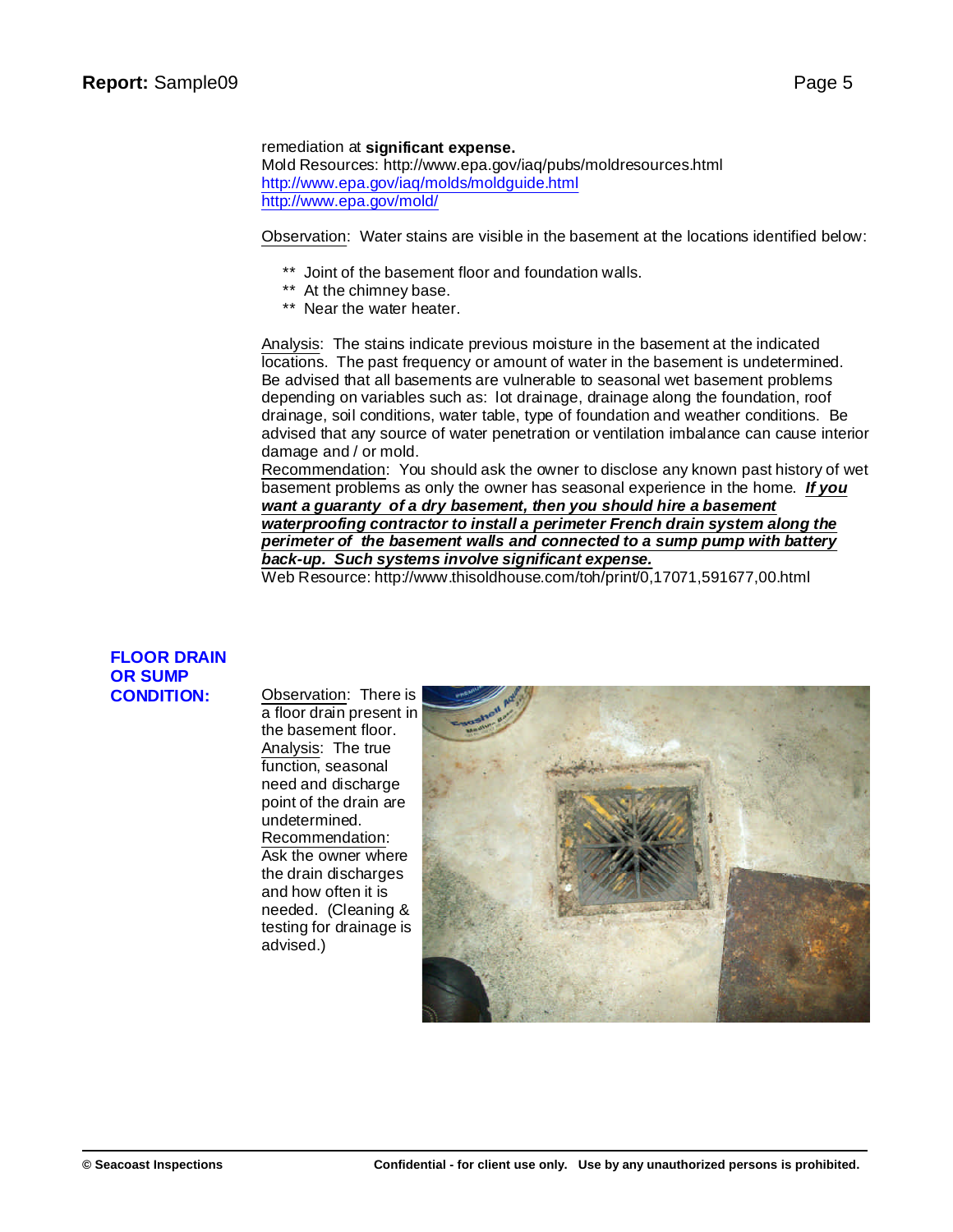#### remediation at **significant expense.** Mold Resources: [http://ww](http://www.epa.gov/iaq/pubs/moldresources.html)[w.epa.gov/iaq/pubs/moldresources.html](www.epa.gov/iaq/pubs/moldresources.html) h[ttp://w](http://www.epa.gov/iaq/molds/moldguide.html)[ww.epa.gov/iaq/molds/moldguide.html](www.epa.gov/iaq/molds/moldguide.html) h[ttp://w](http://www.epa.gov/mold/)[ww.epa.gov/mold/](www.epa.gov/mold/)

Observation: Water stains are visible in the basement at the locations identified below:

- \*\* Joint of the basement floor and foundation walls.
- \*\* At the chimney base.
- \*\* Near the water heater.

Analysis: The stains indicate previous moisture in the basement at the indicated locations. The past frequency or amount of water in the basement is undetermined. Be advised that all basements are vulnerable to seasonal wet basement problems depending on variables such as: lot drainage, drainage along the foundation, roof drainage, soil conditions, water table, type of foundation and weather conditions. Be advised that any source of water penetration or ventilation imbalance can cause interior damage and / or mold.

Recommendation: You should ask the owner to disclose any known past history of wet basement problems as only the owner has seasonal experience in the home. *If you want a guaranty of a dry basement, then you should hire a basement waterproofing contractor to install a perimeter French drain system along the perimeter of the basement walls and connected to a sump pump with battery back-up. Such systems involve significant expense.*

Web Resource: [http://w](http://www.thisoldhouse.com/toh/print/0,17071,591677,00.html)[ww.thisoldhouse.com/toh/print/0,17071,591677,00.html](www.thisoldhouse.com/toh/print/0,17071,591677,00.html)

# **FLOOR DRAIN OR SUMP**

**COSE** CONDITION: There is a floor drain present in the basement floor. Analysis: The true function, seasonal need and discharge point of the drain are undetermined. Recommendation: Ask the owner where the drain discharges and how often it is needed. (Cleaning & testing for drainage is advised.)

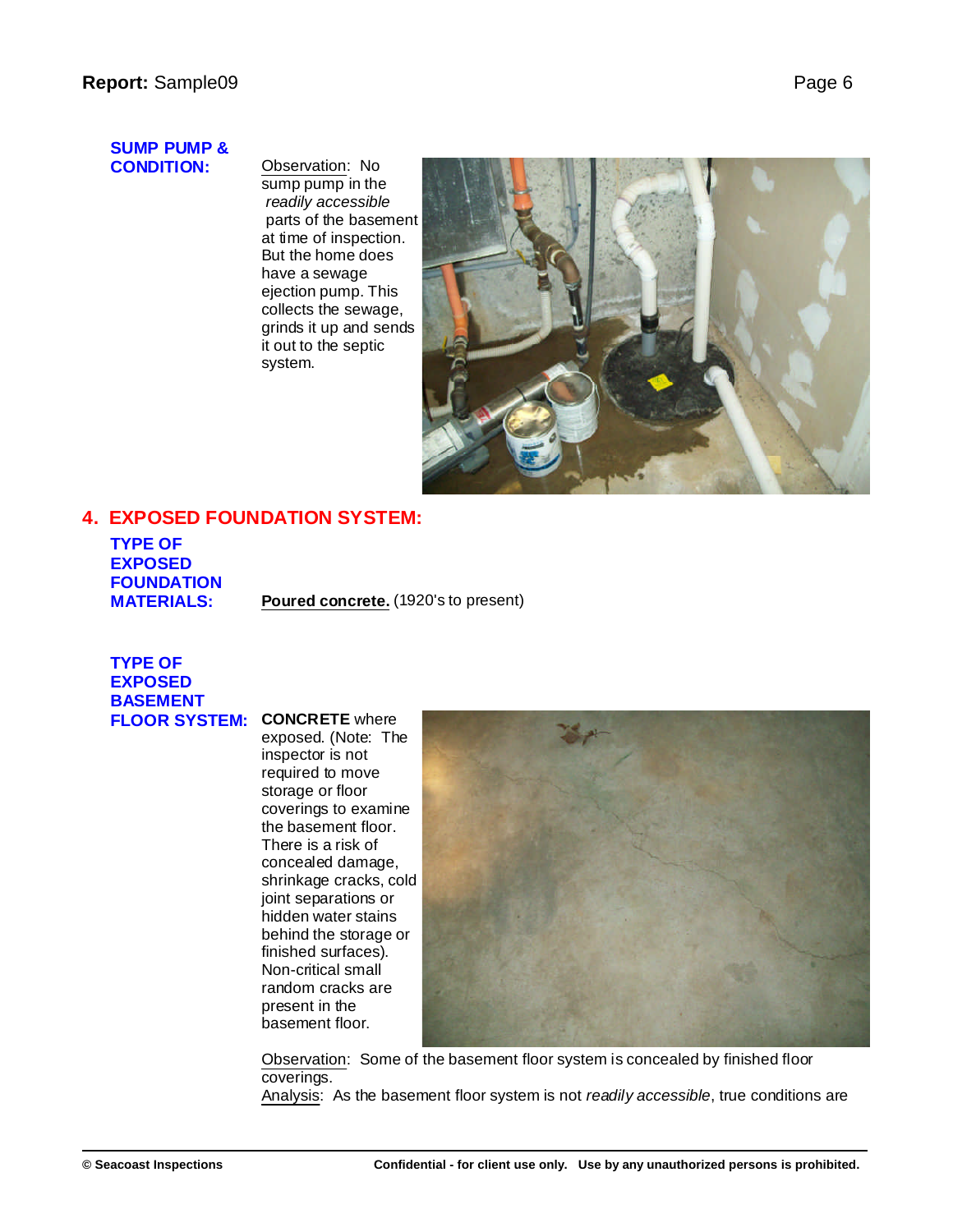# **SUMP PUMP** &<br>**CONDITION:**

**CO**servation: No sump pump in the *readily accessible* parts of the basement at time of inspection. But the home does have a sewage ejection pump. This collects the sewage, grinds it up and sends it out to the septic system.



## **4. EXPOSED FOUNDATION SYSTEM:**

**TYPE OF EXPOSED FOUNDATION**

**MATERIALS: Poured concrete.** (1920's to present)

### **TYPE OF EXPOSED BASEMENT FLOOR SYSTEM: CONCRETE** where

exposed. (Note: The inspector is not required to move storage or floor coverings to examine the basement floor. There is a risk of concealed damage, shrinkage cracks, cold joint separations or hidden water stains behind the storage or finished surfaces). Non-critical small random cracks are present in the basement floor.



Observation: Some of the basement floor system is concealed by finished floor coverings.

Analysis: As the basement floor system is not *readily accessible*, true conditions are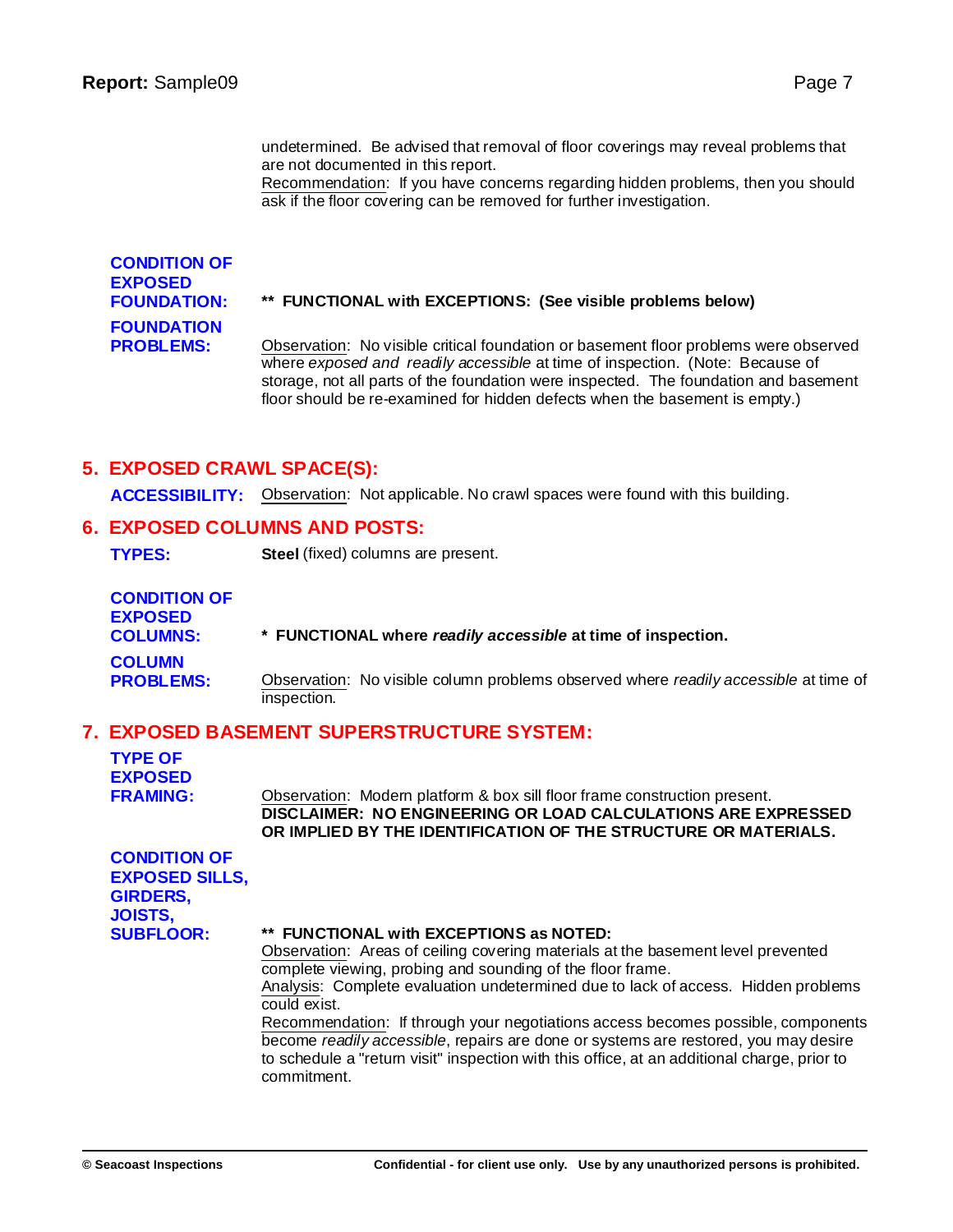undetermined. Be advised that removal of floor coverings may reveal problems that are not documented in this report.

Recommendation: If you have concerns regarding hidden problems, then you should ask if the floor covering can be removed for further investigation.

# **CONDITION OF EXPOSED FOUNDATION**

#### **FOUNDATION: \*\* FUNCTIONAL with EXCEPTIONS: (See visible problems below)**

**PROBLEMS:** Observation: No visible critical foundation or basement floor problems were observed where *exposed and readily accessible* at time of inspection. (Note: Because of storage, not all parts of the foundation were inspected. The foundation and basement floor should be re-examined for hidden defects when the basement is empty.)

## **5. EXPOSED CRAWL SPACE(S):**

**ACCESSIBILITY:** Observation: Not applicable. No crawl spaces were found with this building.

### **6. EXPOSED COLUMNS AND POSTS:**

**TYPES: Steel** (fixed) columns are present.

| <b>CONDITION OF</b><br><b>EXPOSED</b><br><b>COLUMNS:</b> | * FUNCTIONAL where readily accessible at time of inspection.                         |
|----------------------------------------------------------|--------------------------------------------------------------------------------------|
| <b>COLUMN</b>                                            | Observation: No visible column problems observed where readily accessible at time of |
| <b>PROBLEMS:</b>                                         | inspection.                                                                          |

### **7. EXPOSED BASEMENT SUPERSTRUCTURE SYSTEM:**

| <b>TYPE OF</b><br><b>EXPOSED</b><br><b>FRAMING:</b>             | Observation: Modern platform & box sill floor frame construction present.<br>DISCLAIMER: NO ENGINEERING OR LOAD CALCULATIONS ARE EXPRESSED<br>OR IMPLIED BY THE IDENTIFICATION OF THE STRUCTURE OR MATERIALS.                                                                                  |
|-----------------------------------------------------------------|------------------------------------------------------------------------------------------------------------------------------------------------------------------------------------------------------------------------------------------------------------------------------------------------|
| <b>CONDITION OF</b><br><b>EXPOSED SILLS,</b><br><b>GIRDERS,</b> |                                                                                                                                                                                                                                                                                                |
| <b>JOISTS,</b>                                                  |                                                                                                                                                                                                                                                                                                |
| <b>SUBFLOOR:</b>                                                | ** FUNCTIONAL with EXCEPTIONS as NOTED:<br>Observation: Areas of ceiling covering materials at the basement level prevented<br>complete viewing, probing and sounding of the floor frame.<br>Analysis: Complete evaluation undetermined due to lack of access. Hidden problems<br>could exist. |
|                                                                 | Recommendation: If through your negotiations access becomes possible, components<br>become readily accessible, repairs are done or systems are restored, you may desire<br>to schedule a "return visit" inspection with this office, at an additional charge, prior to<br>commitment.          |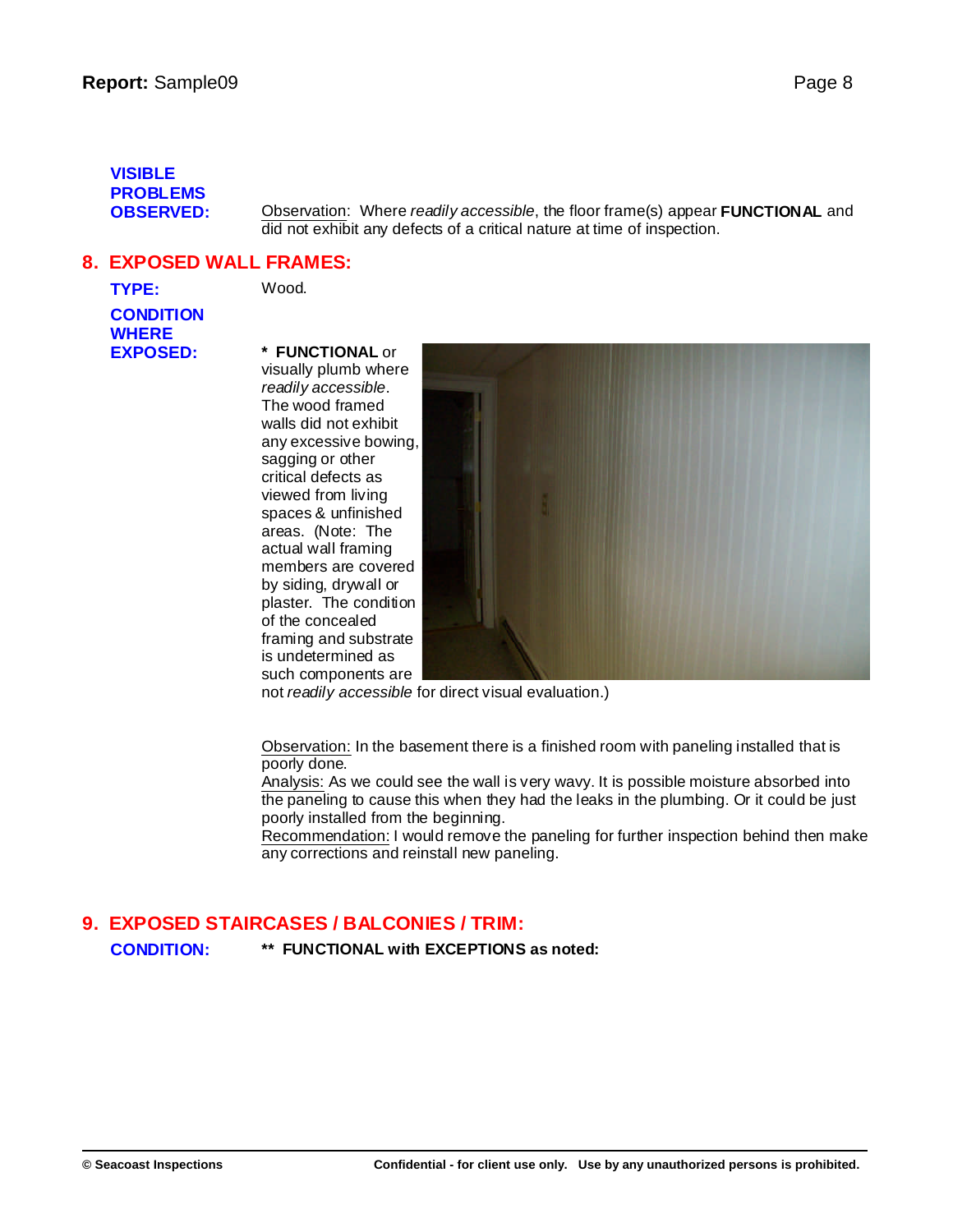# **VISIBLE PROBLEMS**

**OBSERVED:** Observation: Where *readily accessible*, the floor frame(s) appear **FUNCTIONAL** and did not exhibit any defects of a critical nature at time of inspection.

### **8. EXPOSED WALL FRAMES:**

**TYPE:** Wood. **CONDITION WHERE EXPOSED: \* FUNCTIONAL** or

visually plumb where *readily accessible*. The wood framed walls did not exhibit any excessive bowing, sagging or other critical defects as viewed from living spaces & unfinished areas. (Note: The actual wall framing members are covered by siding, drywall or plaster. The condition of the concealed framing and substrate is undetermined as such components are



not *readily accessible* for direct visual evaluation.)

Observation: In the basement there is a finished room with paneling installed that is poorly done.

Analysis: As we could see the wall is very wavy. It is possible moisture absorbed into the paneling to cause this when they had the leaks in the plumbing. Or it could be just poorly installed from the beginning.

Recommendation: I would remove the paneling for further inspection behind then make any corrections and reinstall new paneling.

### **9. EXPOSED STAIRCASES / BALCONIES / TRIM:**

**CONDITION: \*\* FUNCTIONAL with EXCEPTIONS as noted:**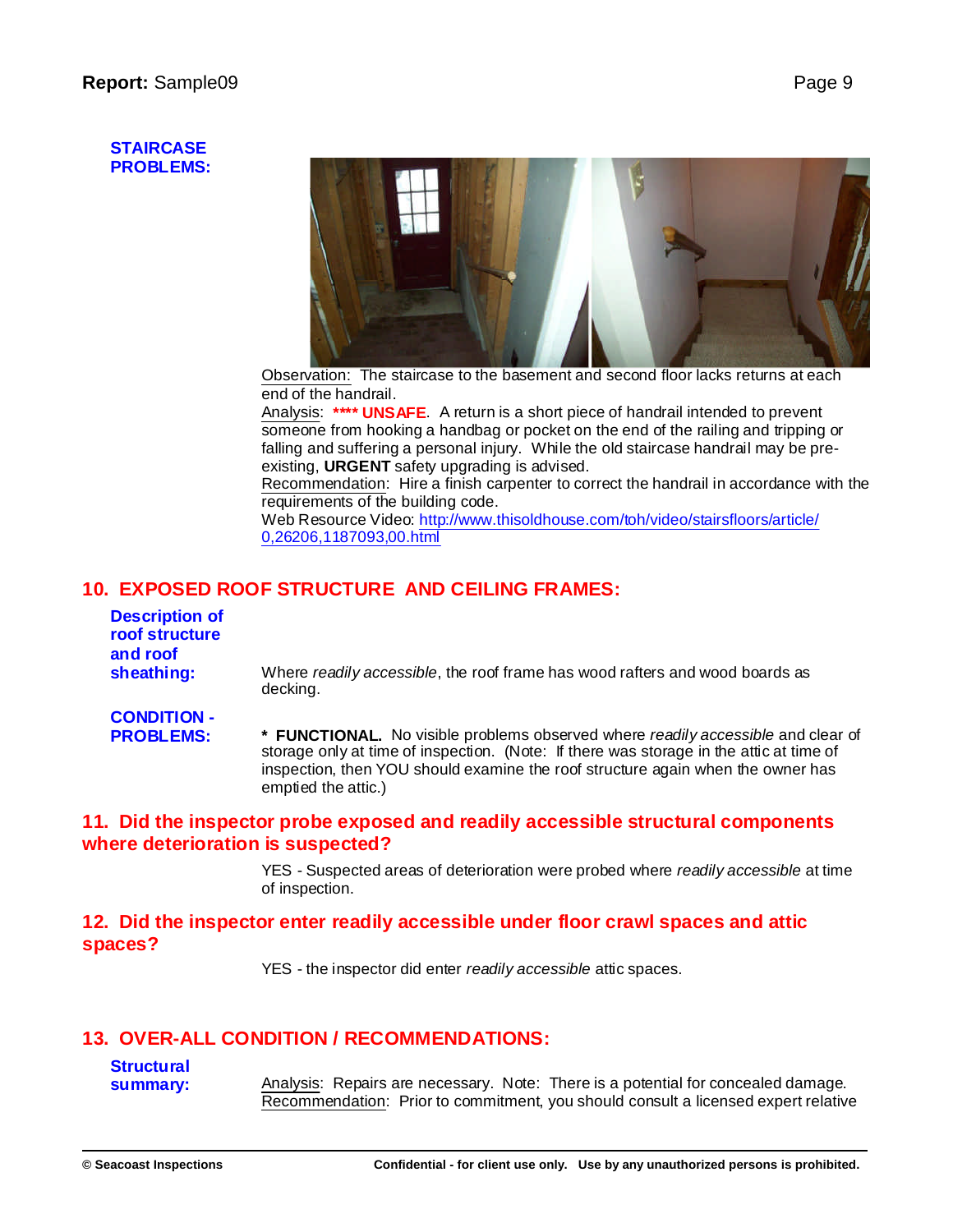### **STAIRCASE PROBLEMS:**



Observation: The staircase to the basement and second floor lacks returns at each end of the handrail.

Analysis: **\*\*\*\* UNSAFE**. A return is a short piece of handrail intended to prevent someone from hooking a handbag or pocket on the end of the railing and tripping or falling and suffering a personal injury. While the old staircase handrail may be preexisting, **URGENT** safety upgrading is advised.

Recommendation: Hire a finish carpenter to correct the handrail in accordance with the requirements of the building code.

Web Resource Video: [http://ww](http://www.thisoldhouse.com/toh/video/stairsfloors/article/)[w.thisoldhouse.com/toh/video/stairsfloors/article/](www.thisoldhouse.com/toh/video/stairsfloors/article/) 0,26206,1187093,00.html

### **10. EXPOSED ROOF STRUCTURE AND CEILING FRAMES:**

| <b>Description of</b><br>roof structure<br>and roof |                                                                                          |
|-----------------------------------------------------|------------------------------------------------------------------------------------------|
| sheathing:                                          | Where readily accessible, the roof frame has wood rafters and wood boards as<br>decking. |

**CONDITION - PROBLEMS:** \* **FUNCTIONAL.** No visible problems observed where *readily accessible* and clear of storage only at time of inspection. (Note: If there was storage in the attic at time of inspection, then YOU should examine the roof structure again when the owner has emptied the attic.)

### **11. Did the inspector probe exposed and readily accessible structural components where deterioration is suspected?**

YES - Suspected areas of deterioration were probed where *readily accessible* at time of inspection.

### **12. Did the inspector enter readily accessible under floor crawl spaces and attic spaces?**

YES - the inspector did enter *readily accessible* attic spaces.

### **13. OVER-ALL CONDITION / RECOMMENDATIONS:**

**Structural**

**summary:** Analysis: Repairs are necessary. Note: There is a potential for concealed damage. Recommendation: Prior to commitment, you should consult a licensed expert relative